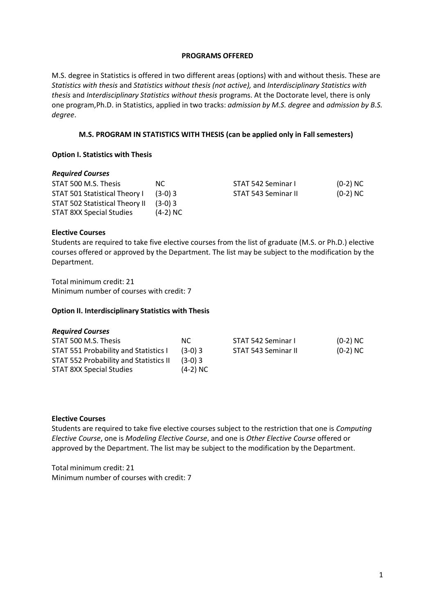### **PROGRAMS OFFERED**

M.S. degree in Statistics is offered in two different areas (options) with and without thesis. These are *Statistics with thesis* and *Statistics without thesis (not active),* and *Interdisciplinary Statistics with thesis* and *Interdisciplinary Statistics without thesis* programs. At the Doctorate level, there is only one program,Ph.D. in Statistics, applied in two tracks: *admission by M.S. degree* and *admission by B.S. degree*.

### **M.S. PROGRAM IN STATISTICS WITH THESIS (can be applied only in Fall semesters)**

### **Option I. Statistics with Thesis**

### *Required Courses*

| STAT 500 M.S. Thesis                   | NC.        | STAT 542 Seminar I  | $(0-2)$ NC |
|----------------------------------------|------------|---------------------|------------|
| STAT 501 Statistical Theory I          | $(3-0)3$   | STAT 543 Seminar II | $(0-2)$ NC |
| STAT 502 Statistical Theory II (3-0) 3 |            |                     |            |
| STAT 8XX Special Studies               | $(4-2)$ NC |                     |            |

### **Elective Courses**

Students are required to take five elective courses from the list of graduate (M.S. or Ph.D.) elective courses offered or approved by the Department. The list may be subject to the modification by the Department.

Total minimum credit: 21 Minimum number of courses with credit: 7

### **Option II. Interdisciplinary Statistics with Thesis**

### *Required Courses*

| STAT 500 M.S. Thesis                          | NC.        | STAT 542 Seminar I  | (0-2) NC   |
|-----------------------------------------------|------------|---------------------|------------|
| <b>STAT 551 Probability and Statistics I</b>  | $(3-0)3$   | STAT 543 Seminar II | $(0-2)$ NC |
| <b>STAT 552 Probability and Statistics II</b> | $(3-0)3$   |                     |            |
| <b>STAT 8XX Special Studies</b>               | $(4-2)$ NC |                     |            |

### **Elective Courses**

Students are required to take five elective courses subject to the restriction that one is *Computing Elective Course*, one is *Modeling Elective Course*, and one is *Other Elective Course* offered or approved by the Department. The list may be subject to the modification by the Department.

Total minimum credit: 21 Minimum number of courses with credit: 7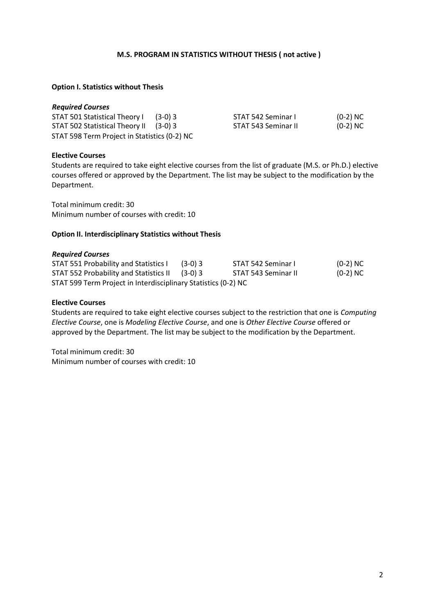## **M.S. PROGRAM IN STATISTICS WITHOUT THESIS ( not active )**

### **Option I. Statistics without Thesis**

| <b>Required Courses</b>                      |          |                     |            |
|----------------------------------------------|----------|---------------------|------------|
| STAT 501 Statistical Theory I                | $(3-0)3$ | STAT 542 Seminar I  | $(0-2)$ NC |
| STAT 502 Statistical Theory II               | $(3-0)3$ | STAT 543 Seminar II | $(0-2)$ NC |
| STAT 598 Term Project in Statistics (0-2) NC |          |                     |            |

### **Elective Courses**

Students are required to take eight elective courses from the list of graduate (M.S. or Ph.D.) elective courses offered or approved by the Department. The list may be subject to the modification by the Department.

Total minimum credit: 30 Minimum number of courses with credit: 10

### **Option II. Interdisciplinary Statistics without Thesis**

### *Required Courses*

| <b>STAT 551 Probability and Statistics I</b>                   | $(3-0)3$ | STAT 542 Seminar I  | $(0-2)$ NC |
|----------------------------------------------------------------|----------|---------------------|------------|
| STAT 552 Probability and Statistics II (3-0) 3                 |          | STAT 543 Seminar II | (0-2) NC   |
| STAT 599 Term Project in Interdisciplinary Statistics (0-2) NC |          |                     |            |

### **Elective Courses**

Students are required to take eight elective courses subject to the restriction that one is *Computing Elective Course*, one is *Modeling Elective Course*, and one is *Other Elective Course* offered or approved by the Department. The list may be subject to the modification by the Department.

Total minimum credit: 30 Minimum number of courses with credit: 10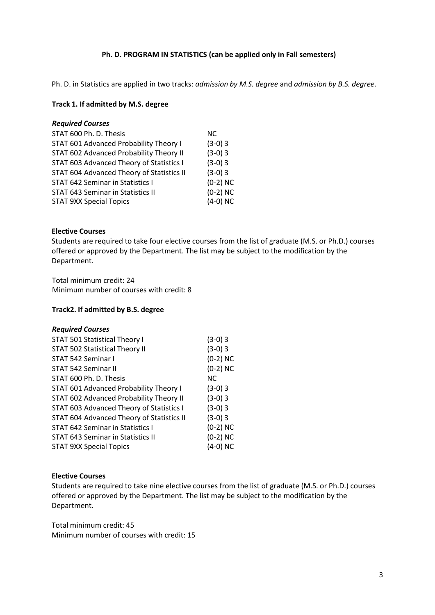## **Ph. D. PROGRAM IN STATISTICS (can be applied only in Fall semesters)**

Ph. D. in Statistics are applied in two tracks: *admission by M.S. degree* and *admission by B.S. degree*.

### **Track 1. If admitted by M.S. degree**

# *Required Courses*

| STAT 600 Ph. D. Thesis                    | NC.        |
|-------------------------------------------|------------|
| STAT 601 Advanced Probability Theory I    | $(3-0)3$   |
| STAT 602 Advanced Probability Theory II   | $(3-0)3$   |
| STAT 603 Advanced Theory of Statistics I  | $(3-0)3$   |
| STAT 604 Advanced Theory of Statistics II | $(3-0)3$   |
| <b>STAT 642 Seminar in Statistics I</b>   | $(0-2)$ NC |
| <b>STAT 643 Seminar in Statistics II</b>  | $(0-2)$ NC |
| <b>STAT 9XX Special Topics</b>            | $(4-0)$ NC |

### **Elective Courses**

Students are required to take four elective courses from the list of graduate (M.S. or Ph.D.) courses offered or approved by the Department. The list may be subject to the modification by the Department.

Total minimum credit: 24 Minimum number of courses with credit: 8

## **Track2. If admitted by B.S. degree**

### *Required Courses*

| <b>STAT 501 Statistical Theory I</b>      | $(3-0)3$   |
|-------------------------------------------|------------|
| <b>STAT 502 Statistical Theory II</b>     | $(3-0)3$   |
| STAT 542 Seminar I                        | $(0-2)$ NC |
| STAT 542 Seminar II                       | $(0-2)$ NC |
| STAT 600 Ph. D. Thesis                    | NС         |
| STAT 601 Advanced Probability Theory I    | $(3-0)3$   |
| STAT 602 Advanced Probability Theory II   | $(3-0)3$   |
| STAT 603 Advanced Theory of Statistics I  | $(3-0)3$   |
| STAT 604 Advanced Theory of Statistics II | $(3-0)3$   |
| <b>STAT 642 Seminar in Statistics I</b>   | $(0-2)$ NC |
| STAT 643 Seminar in Statistics II         | $(0-2)$ NC |
| <b>STAT 9XX Special Topics</b>            | $(4-0)$ NC |

### **Elective Courses**

Students are required to take nine elective courses from the list of graduate (M.S. or Ph.D.) courses offered or approved by the Department. The list may be subject to the modification by the Department.

Total minimum credit: 45 Minimum number of courses with credit: 15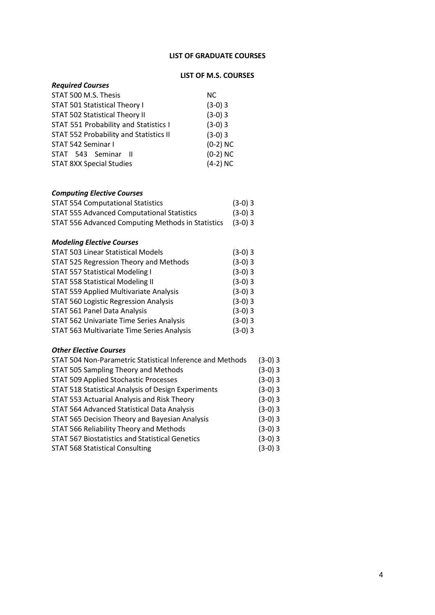## **LIST OF GRADUATE COURSES**

## **LIST OF M.S. COURSES**

| NC.        |
|------------|
| $(3-0)3$   |
| $(3-0)3$   |
| $(3-0)3$   |
| $(3-0)3$   |
| $(0-2)$ NC |
| $(0-2)$ NC |
| $(4-2)$ NC |
|            |

# *Computing Elective Courses*

| <b>STAT 554 Computational Statistics</b>          | $(3-0)3$ |
|---------------------------------------------------|----------|
| <b>STAT 555 Advanced Computational Statistics</b> | $(3-0)3$ |
| STAT 556 Advanced Computing Methods in Statistics | $(3-0)3$ |

# *Modeling Elective Courses*

| <b>STAT 503 Linear Statistical Models</b>       | $(3-0)3$ |
|-------------------------------------------------|----------|
| STAT 525 Regression Theory and Methods          | $(3-0)3$ |
| <b>STAT 557 Statistical Modeling I</b>          | $(3-0)3$ |
| <b>STAT 558 Statistical Modeling II</b>         | $(3-0)3$ |
| STAT 559 Applied Multivariate Analysis          | $(3-0)3$ |
| <b>STAT 560 Logistic Regression Analysis</b>    | $(3-0)3$ |
| STAT 561 Panel Data Analysis                    | $(3-0)3$ |
| <b>STAT 562 Univariate Time Series Analysis</b> | $(3-0)3$ |
| STAT 563 Multivariate Time Series Analysis      | $(3-0)3$ |
|                                                 |          |

## *Other Elective Courses*

| STAT 504 Non-Parametric Statistical Inference and Methods | $(3-0)3$ |
|-----------------------------------------------------------|----------|
| STAT 505 Sampling Theory and Methods                      | $(3-0)3$ |
| <b>STAT 509 Applied Stochastic Processes</b>              | $(3-0)3$ |
| STAT 518 Statistical Analysis of Design Experiments       | $(3-0)3$ |
| STAT 553 Actuarial Analysis and Risk Theory               | $(3-0)3$ |
| STAT 564 Advanced Statistical Data Analysis               | $(3-0)3$ |
| STAT 565 Decision Theory and Bayesian Analysis            | $(3-0)3$ |
| STAT 566 Reliability Theory and Methods                   | $(3-0)3$ |
| <b>STAT 567 Biostatistics and Statistical Genetics</b>    | $(3-0)3$ |
| <b>STAT 568 Statistical Consulting</b>                    | $(3-0)3$ |